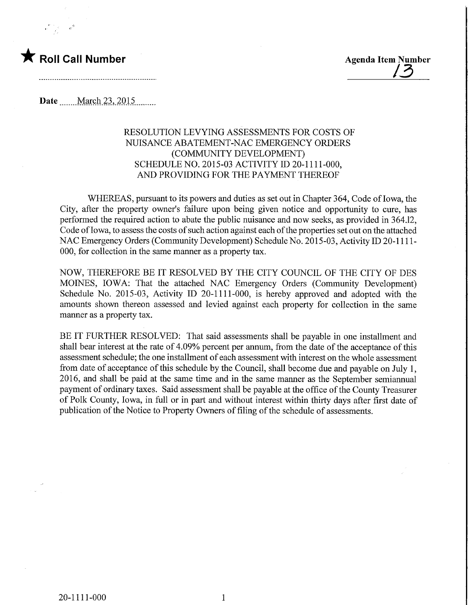

Date ........ March 23, 2015

## RESOLUTION LEVYING ASSESSMENTS FOR COSTS OF NUISANCE ABATEMENT-NAC EMERGENCY ORDERS (COMMUNITY DEVELOPMENT) SCHEDULE NO. 2015-03 ACTIVITY ID 20-1111-000, AND PROVIDING FOR THE PAYMENT THEREOF

WHEREAS, pursuant to its powers and duties as set out in Chapter 364, Code of Iowa, the City, after the property owner's failure upon being given notice and opportunity to cure, has performed the required action to abate the public nuisance and now seeks, as provided in 364.12, Code of Iowa, to assess the costs of such action against each of the properties set out on the attached NAC Emergency Orders (Community Development) Schedule No. 2015-03, Activity ID 20-1111- 000, for collection in the same manner as a property tax.

NOW, THEREFORE BE IT RESOLVED BY THE CITY COUNCIL OF THE CITY OF DES MOINES, IOWA: That the attached NAC Emergency Orders (Community Development) Schedule No. 2015-03, Activity ID 20-1111-000, is hereby approved and adopted with the amounts shown thereon assessed and levied against each property for collection in the same manner as a property tax.

BE IT FURTHER RESOLVED: That said assessments shall be payable in one installment and shall bear interest at the rate of 4.09% percent per annum, from the date of the acceptance of this assessment schedule; the one installment of each assessment with interest on the whole assessment from date of acceptance of this schedule by the Council, shall become due and payable on July 1, 2016, and shall be paid at the same time and in the same manner as the September semiarmual payment of ordinary taxes. Said assessment shall be payable at the office of the County Treasurer of Polk County, Iowa, in full or in part and without interest within thirty days after first date of publication of the Notice to Property Owners of filing of the schedule of assessments.